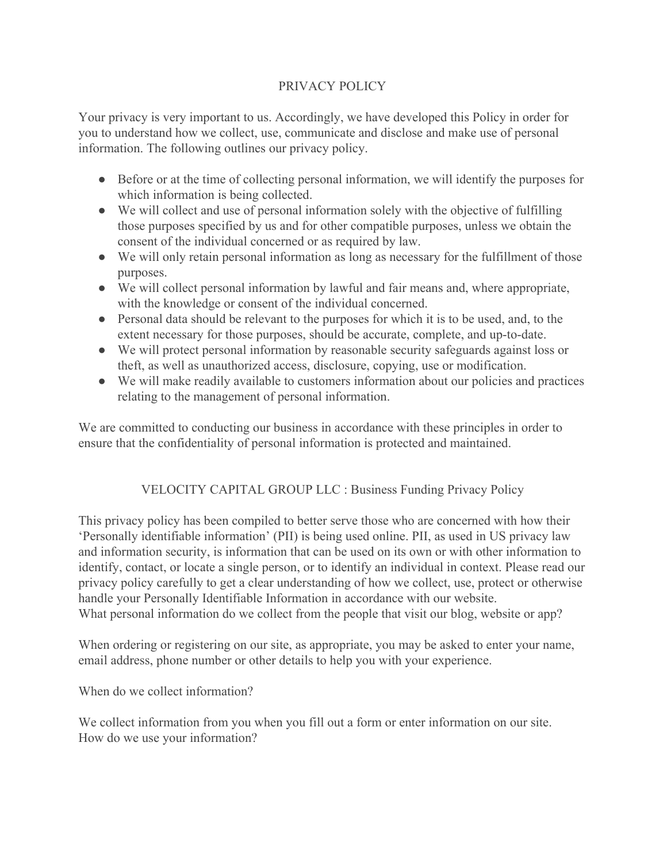## PRIVACY POLICY

Your privacy is very important to us. Accordingly, we have developed this Policy in order for you to understand how we collect, use, communicate and disclose and make use of personal information. The following outlines our privacy policy.

- Before or at the time of collecting personal information, we will identify the purposes for which information is being collected.
- We will collect and use of personal information solely with the objective of fulfilling those purposes specified by us and for other compatible purposes, unless we obtain the consent of the individual concerned or as required by law.
- We will only retain personal information as long as necessary for the fulfillment of those purposes.
- We will collect personal information by lawful and fair means and, where appropriate, with the knowledge or consent of the individual concerned.
- Personal data should be relevant to the purposes for which it is to be used, and, to the extent necessary for those purposes, should be accurate, complete, and up-to-date.
- We will protect personal information by reasonable security safeguards against loss or theft, as well as unauthorized access, disclosure, copying, use or modification.
- We will make readily available to customers information about our policies and practices relating to the management of personal information.

We are committed to conducting our business in accordance with these principles in order to ensure that the confidentiality of personal information is protected and maintained.

## VELOCITY CAPITAL GROUP LLC : Business Funding Privacy Policy

This privacy policy has been compiled to better serve those who are concerned with how their 'Personally identifiable information' (PII) is being used online. PII, as used in US privacy law and information security, is information that can be used on its own or with other information to identify, contact, or locate a single person, or to identify an individual in context. Please read our privacy policy carefully to get a clear understanding of how we collect, use, protect or otherwise handle your Personally Identifiable Information in accordance with our website. What personal information do we collect from the people that visit our blog, website or app?

When ordering or registering on our site, as appropriate, you may be asked to enter your name, email address, phone number or other details to help you with your experience.

When do we collect information?

We collect information from you when you fill out a form or enter information on our site. How do we use your information?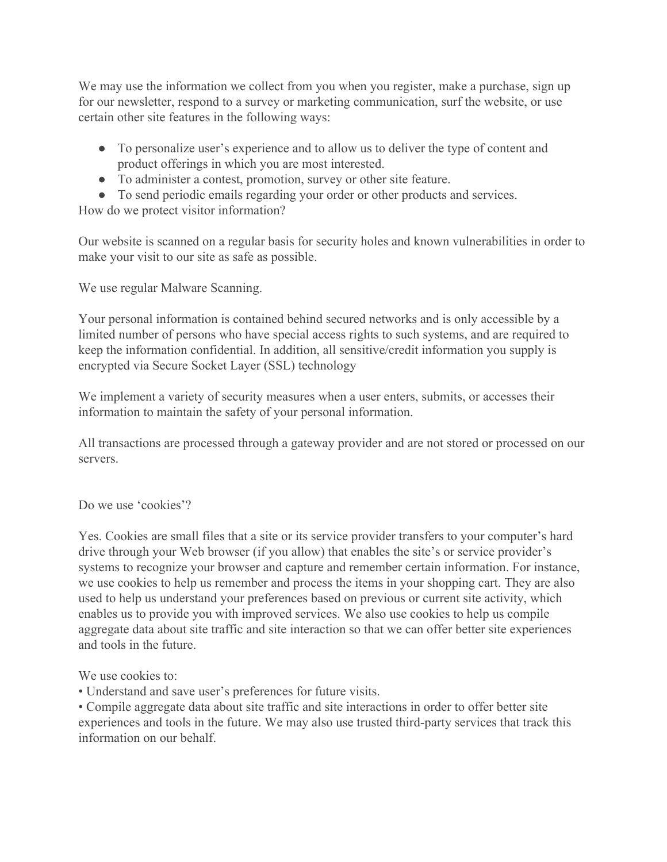We may use the information we collect from you when you register, make a purchase, sign up for our newsletter, respond to a survey or marketing communication, surf the website, or use certain other site features in the following ways:

- To personalize user's experience and to allow us to deliver the type of content and product offerings in which you are most interested.
- To administer a contest, promotion, survey or other site feature.
- To send periodic emails regarding your order or other products and services.

How do we protect visitor information?

Our website is scanned on a regular basis for security holes and known vulnerabilities in order to make your visit to our site as safe as possible.

We use regular Malware Scanning.

Your personal information is contained behind secured networks and is only accessible by a limited number of persons who have special access rights to such systems, and are required to keep the information confidential. In addition, all sensitive/credit information you supply is encrypted via Secure Socket Layer (SSL) technology

We implement a variety of security measures when a user enters, submits, or accesses their information to maintain the safety of your personal information.

All transactions are processed through a gateway provider and are not stored or processed on our servers.

Do we use 'cookies'?

Yes. Cookies are small files that a site or its service provider transfers to your computer's hard drive through your Web browser (if you allow) that enables the site's or service provider's systems to recognize your browser and capture and remember certain information. For instance, we use cookies to help us remember and process the items in your shopping cart. They are also used to help us understand your preferences based on previous or current site activity, which enables us to provide you with improved services. We also use cookies to help us compile aggregate data about site traffic and site interaction so that we can offer better site experiences and tools in the future.

We use cookies to:

• Understand and save user's preferences for future visits.

• Compile aggregate data about site traffic and site interactions in order to offer better site experiences and tools in the future. We may also use trusted third-party services that track this information on our behalf.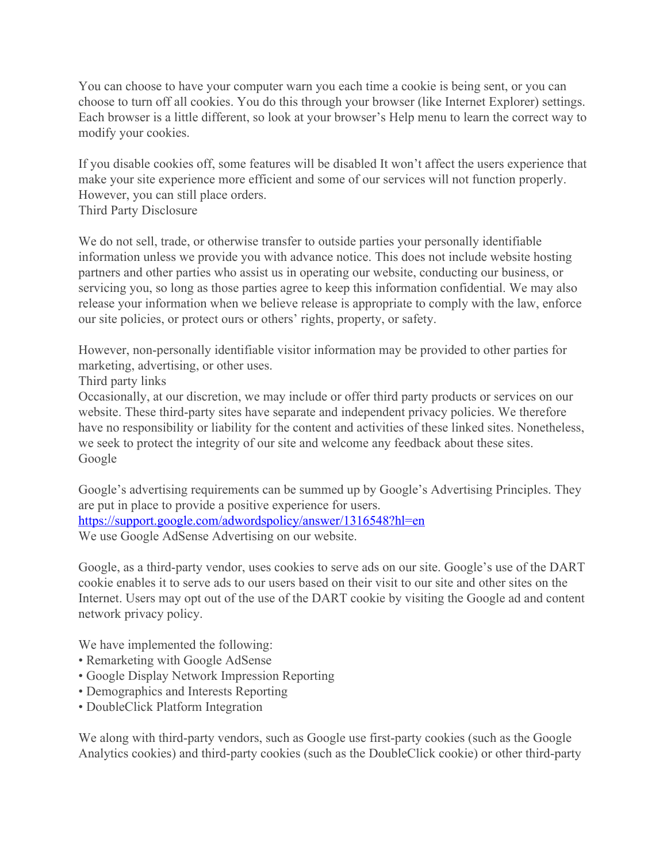You can choose to have your computer warn you each time a cookie is being sent, or you can choose to turn off all cookies. You do this through your browser (like Internet Explorer) settings. Each browser is a little different, so look at your browser's Help menu to learn the correct way to modify your cookies.

If you disable cookies off, some features will be disabled It won't affect the users experience that make your site experience more efficient and some of our services will not function properly. However, you can still place orders. Third Party Disclosure

We do not sell, trade, or otherwise transfer to outside parties your personally identifiable information unless we provide you with advance notice. This does not include website hosting partners and other parties who assist us in operating our website, conducting our business, or servicing you, so long as those parties agree to keep this information confidential. We may also release your information when we believe release is appropriate to comply with the law, enforce our site policies, or protect ours or others' rights, property, or safety.

However, non-personally identifiable visitor information may be provided to other parties for marketing, advertising, or other uses.

Third party links

Occasionally, at our discretion, we may include or offer third party products or services on our website. These third-party sites have separate and independent privacy policies. We therefore have no responsibility or liability for the content and activities of these linked sites. Nonetheless, we seek to protect the integrity of our site and welcome any feedback about these sites. Google

Google's advertising requirements can be summed up by Google's Advertising Principles. They are put in place to provide a positive experience for users. <https://support.google.com/adwordspolicy/answer/1316548?hl=en> We use Google AdSense Advertising on our website.

Google, as a third-party vendor, uses cookies to serve ads on our site. Google's use of the DART cookie enables it to serve ads to our users based on their visit to our site and other sites on the Internet. Users may opt out of the use of the DART cookie by visiting the Google ad and content network privacy policy.

We have implemented the following:

- Remarketing with Google AdSense
- Google Display Network Impression Reporting
- Demographics and Interests Reporting
- DoubleClick Platform Integration

We along with third-party vendors, such as Google use first-party cookies (such as the Google Analytics cookies) and third-party cookies (such as the DoubleClick cookie) or other third-party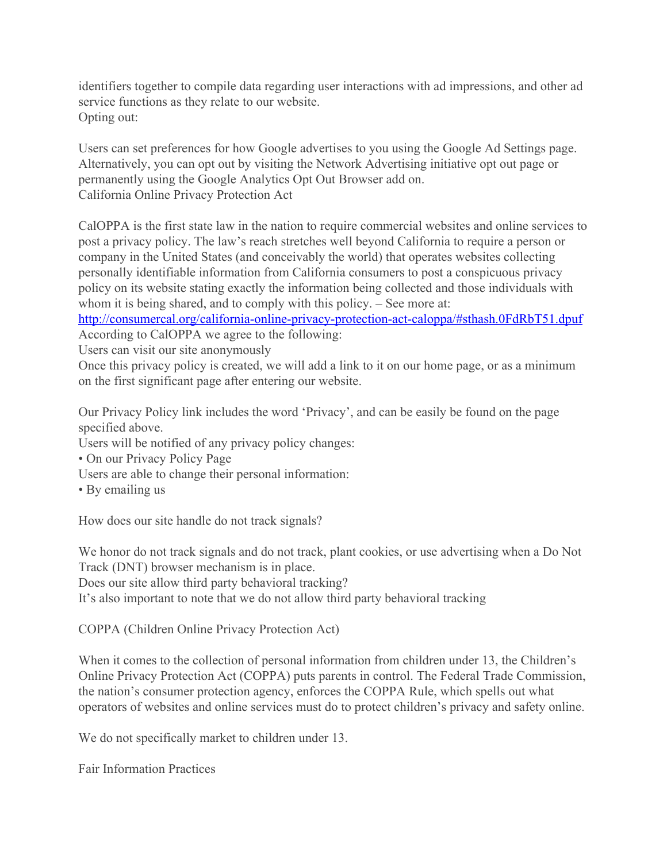identifiers together to compile data regarding user interactions with ad impressions, and other ad service functions as they relate to our website. Opting out:

Users can set preferences for how Google advertises to you using the Google Ad Settings page. Alternatively, you can opt out by visiting the Network Advertising initiative opt out page or permanently using the Google Analytics Opt Out Browser add on. California Online Privacy Protection Act

CalOPPA is the first state law in the nation to require commercial websites and online services to post a privacy policy. The law's reach stretches well beyond California to require a person or company in the United States (and conceivably the world) that operates websites collecting personally identifiable information from California consumers to post a conspicuous privacy policy on its website stating exactly the information being collected and those individuals with whom it is being shared, and to comply with this policy. – See more at:

http://consumercal.org/california-online-privacy-protection-act-caloppa/#sthash.0FdRbT51.dpuf According to CalOPPA we agree to the following:

Users can visit our site anonymously

Once this privacy policy is created, we will add a link to it on our home page, or as a minimum on the first significant page after entering our website.

Our Privacy Policy link includes the word 'Privacy', and can be easily be found on the page specified above.

Users will be notified of any privacy policy changes:

- On our Privacy Policy Page
- Users are able to change their personal information:
- By emailing us

How does our site handle do not track signals?

We honor do not track signals and do not track, plant cookies, or use advertising when a Do Not Track (DNT) browser mechanism is in place.

Does our site allow third party behavioral tracking?

It's also important to note that we do not allow third party behavioral tracking

COPPA (Children Online Privacy Protection Act)

When it comes to the collection of personal information from children under 13, the Children's Online Privacy Protection Act (COPPA) puts parents in control. The Federal Trade Commission, the nation's consumer protection agency, enforces the COPPA Rule, which spells out what operators of websites and online services must do to protect children's privacy and safety online.

We do not specifically market to children under 13.

Fair Information Practices